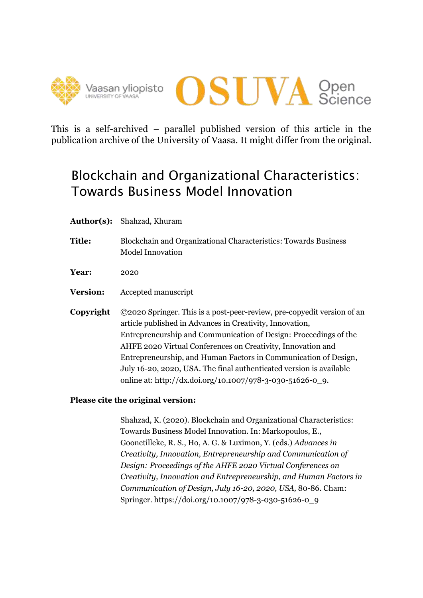



This is a self-archived – parallel published version of this article in the publication archive of the University of Vaasa. It might differ from the original.

# Blockchain and Organizational Characteristics: Towards Business Model Innovation

- **Author(s):** Shahzad, Khuram
- **Title:** Blockchain and Organizational Characteristics: Towards Business Model Innovation
- **Year:** 2020
- **Version:** Accepted manuscript
- **Copyright** ©2020 Springer. This is a post-peer-review, pre-copyedit version of an article published in Advances in Creativity, Innovation, Entrepreneurship and Communication of Design: Proceedings of the AHFE 2020 Virtual Conferences on Creativity, Innovation and Entrepreneurship, and Human Factors in Communication of Design, July 16-20, 2020, USA. The final authenticated version is available online at: http://dx.doi.org/10.1007/978-3-030-51626-0\_9.

# **Please cite the original version:**

Shahzad, K. (2020). Blockchain and Organizational Characteristics: Towards Business Model Innovation. In: Markopoulos, E., Goonetilleke, R. S., Ho, A. G. & Luximon, Y. (eds.) *Advances in Creativity, Innovation, Entrepreneurship and Communication of Design: Proceedings of the AHFE 2020 Virtual Conferences on Creativity, Innovation and Entrepreneurship, and Human Factors in Communication of Design, July 16-20, 2020, USA,* 80-86. Cham: Springer. https://doi.org/10.1007/978-3-030-51626-0\_9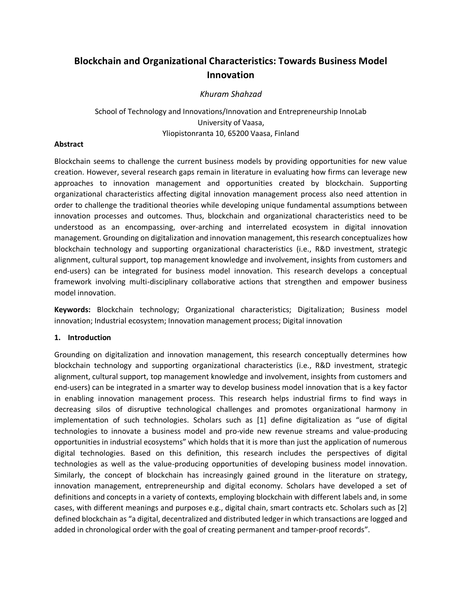# **Blockchain and Organizational Characteristics: Towards Business Model Innovation**

# *Khuram Shahzad*

# School of Technology and Innovations/Innovation and Entrepreneurship InnoLab University of Vaasa, Yliopistonranta 10, 65200 Vaasa, Finland

#### **Abstract**

Blockchain seems to challenge the current business models by providing opportunities for new value creation. However, several research gaps remain in literature in evaluating how firms can leverage new approaches to innovation management and opportunities created by blockchain. Supporting organizational characteristics affecting digital innovation management process also need attention in order to challenge the traditional theories while developing unique fundamental assumptions between innovation processes and outcomes. Thus, blockchain and organizational characteristics need to be understood as an encompassing, over-arching and interrelated ecosystem in digital innovation management. Grounding on digitalization and innovation management, this research conceptualizes how blockchain technology and supporting organizational characteristics (i.e., R&D investment, strategic alignment, cultural support, top management knowledge and involvement, insights from customers and end-users) can be integrated for business model innovation. This research develops a conceptual framework involving multi-disciplinary collaborative actions that strengthen and empower business model innovation.

**Keywords:** Blockchain technology; Organizational characteristics; Digitalization; Business model innovation; Industrial ecosystem; Innovation management process; Digital innovation

#### **1. Introduction**

Grounding on digitalization and innovation management, this research conceptually determines how blockchain technology and supporting organizational characteristics (i.e., R&D investment, strategic alignment, cultural support, top management knowledge and involvement, insights from customers and end-users) can be integrated in a smarter way to develop business model innovation that is a key factor in enabling innovation management process. This research helps industrial firms to find ways in decreasing silos of disruptive technological challenges and promotes organizational harmony in implementation of such technologies. Scholars such as [1] define digitalization as "use of digital technologies to innovate a business model and pro-vide new revenue streams and value-producing opportunities in industrial ecosystems" which holds that it is more than just the application of numerous digital technologies. Based on this definition, this research includes the perspectives of digital technologies as well as the value-producing opportunities of developing business model innovation. Similarly, the concept of blockchain has increasingly gained ground in the literature on strategy, innovation management, entrepreneurship and digital economy. Scholars have developed a set of definitions and concepts in a variety of contexts, employing blockchain with different labels and, in some cases, with different meanings and purposes e.g., digital chain, smart contracts etc. Scholars such as [2] defined blockchain as "a digital, decentralized and distributed ledger in which transactions are logged and added in chronological order with the goal of creating permanent and tamper-proof records".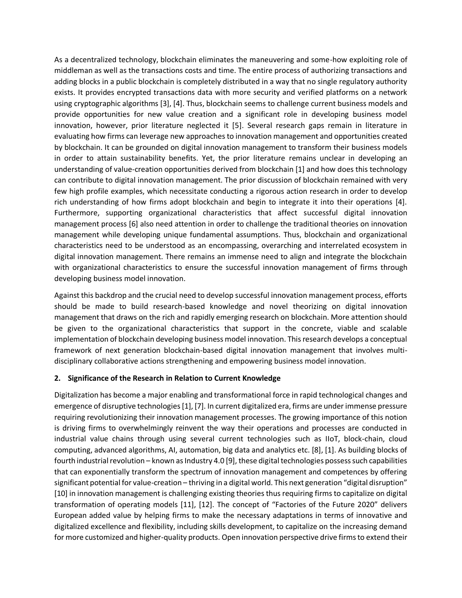As a decentralized technology, blockchain eliminates the maneuvering and some-how exploiting role of middleman as well as the transactions costs and time. The entire process of authorizing transactions and adding blocks in a public blockchain is completely distributed in a way that no single regulatory authority exists. It provides encrypted transactions data with more security and verified platforms on a network using cryptographic algorithms [3], [4]. Thus, blockchain seems to challenge current business models and provide opportunities for new value creation and a significant role in developing business model innovation, however, prior literature neglected it [5]. Several research gaps remain in literature in evaluating how firms can leverage new approaches to innovation management and opportunities created by blockchain. It can be grounded on digital innovation management to transform their business models in order to attain sustainability benefits. Yet, the prior literature remains unclear in developing an understanding of value-creation opportunities derived from blockchain [1] and how does this technology can contribute to digital innovation management. The prior discussion of blockchain remained with very few high profile examples, which necessitate conducting a rigorous action research in order to develop rich understanding of how firms adopt blockchain and begin to integrate it into their operations [4]. Furthermore, supporting organizational characteristics that affect successful digital innovation management process [6] also need attention in order to challenge the traditional theories on innovation management while developing unique fundamental assumptions. Thus, blockchain and organizational characteristics need to be understood as an encompassing, overarching and interrelated ecosystem in digital innovation management. There remains an immense need to align and integrate the blockchain with organizational characteristics to ensure the successful innovation management of firms through developing business model innovation.

Against this backdrop and the crucial need to develop successful innovation management process, efforts should be made to build research-based knowledge and novel theorizing on digital innovation management that draws on the rich and rapidly emerging research on blockchain. More attention should be given to the organizational characteristics that support in the concrete, viable and scalable implementation of blockchain developing business model innovation. This research develops a conceptual framework of next generation blockchain-based digital innovation management that involves multidisciplinary collaborative actions strengthening and empowering business model innovation.

# **2. Significance of the Research in Relation to Current Knowledge**

Digitalization has become a major enabling and transformational force in rapid technological changes and emergence of disruptive technologies [1], [7]. In current digitalized era, firms are under immense pressure requiring revolutionizing their innovation management processes. The growing importance of this notion is driving firms to overwhelmingly reinvent the way their operations and processes are conducted in industrial value chains through using several current technologies such as IIoT, block-chain, cloud computing, advanced algorithms, AI, automation, big data and analytics etc. [8], [1]. As building blocks of fourth industrial revolution – known as Industry 4.0 [9], these digital technologies possess such capabilities that can exponentially transform the spectrum of innovation management and competences by offering significant potential for value-creation – thriving in a digital world. This next generation "digital disruption" [10] in innovation management is challenging existing theories thus requiring firms to capitalize on digital transformation of operating models [11], [12]. The concept of "Factories of the Future 2020" delivers European added value by helping firms to make the necessary adaptations in terms of innovative and digitalized excellence and flexibility, including skills development, to capitalize on the increasing demand for more customized and higher-quality products. Open innovation perspective drive firms to extend their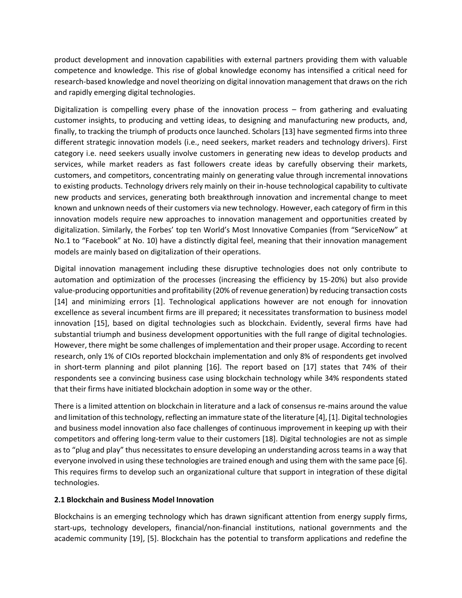product development and innovation capabilities with external partners providing them with valuable competence and knowledge. This rise of global knowledge economy has intensified a critical need for research-based knowledge and novel theorizing on digital innovation management that draws on the rich and rapidly emerging digital technologies.

Digitalization is compelling every phase of the innovation process – from gathering and evaluating customer insights, to producing and vetting ideas, to designing and manufacturing new products, and, finally, to tracking the triumph of products once launched. Scholars [13] have segmented firms into three different strategic innovation models (i.e., need seekers, market readers and technology drivers). First category i.e. need seekers usually involve customers in generating new ideas to develop products and services, while market readers as fast followers create ideas by carefully observing their markets, customers, and competitors, concentrating mainly on generating value through incremental innovations to existing products. Technology drivers rely mainly on their in-house technological capability to cultivate new products and services, generating both breakthrough innovation and incremental change to meet known and unknown needs of their customers via new technology. However, each category of firm in this innovation models require new approaches to innovation management and opportunities created by digitalization. Similarly, the Forbes' top ten World's Most Innovative Companies (from "ServiceNow" at No.1 to "Facebook" at No. 10) have a distinctly digital feel, meaning that their innovation management models are mainly based on digitalization of their operations.

Digital innovation management including these disruptive technologies does not only contribute to automation and optimization of the processes (increasing the efficiency by 15-20%) but also provide value-producing opportunities and profitability (20% of revenue generation) by reducing transaction costs [14] and minimizing errors [1]. Technological applications however are not enough for innovation excellence as several incumbent firms are ill prepared; it necessitates transformation to business model innovation [15], based on digital technologies such as blockchain. Evidently, several firms have had substantial triumph and business development opportunities with the full range of digital technologies. However, there might be some challenges of implementation and their proper usage. According to recent research, only 1% of CIOs reported blockchain implementation and only 8% of respondents get involved in short-term planning and pilot planning [16]. The report based on [17] states that 74% of their respondents see a convincing business case using blockchain technology while 34% respondents stated that their firms have initiated blockchain adoption in some way or the other.

There is a limited attention on blockchain in literature and a lack of consensus re-mains around the value and limitation of this technology, reflecting an immature state of the literature [4], [1]. Digital technologies and business model innovation also face challenges of continuous improvement in keeping up with their competitors and offering long-term value to their customers [18]. Digital technologies are not as simple as to "plug and play" thus necessitates to ensure developing an understanding across teams in a way that everyone involved in using these technologies are trained enough and using them with the same pace [6]. This requires firms to develop such an organizational culture that support in integration of these digital technologies.

# **2.1 Blockchain and Business Model Innovation**

Blockchains is an emerging technology which has drawn significant attention from energy supply firms, start-ups, technology developers, financial/non-financial institutions, national governments and the academic community [19], [5]. Blockchain has the potential to transform applications and redefine the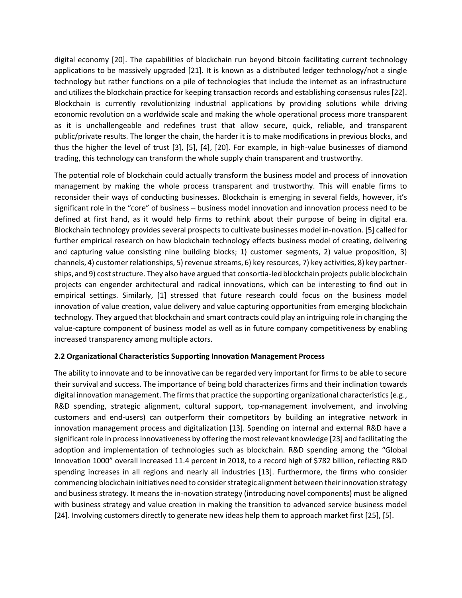digital economy [20]. The capabilities of blockchain run beyond bitcoin facilitating current technology applications to be massively upgraded [21]. It is known as a distributed ledger technology/not a single technology but rather functions on a pile of technologies that include the internet as an infrastructure and utilizes the blockchain practice for keeping transaction records and establishing consensus rules [22]. Blockchain is currently revolutionizing industrial applications by providing solutions while driving economic revolution on a worldwide scale and making the whole operational process more transparent as it is unchallengeable and redefines trust that allow secure, quick, reliable, and transparent public/private results. The longer the chain, the harder it is to make modifications in previous blocks, and thus the higher the level of trust [3], [5], [4], [20]. For example, in high-value businesses of diamond trading, this technology can transform the whole supply chain transparent and trustworthy.

The potential role of blockchain could actually transform the business model and process of innovation management by making the whole process transparent and trustworthy. This will enable firms to reconsider their ways of conducting businesses. Blockchain is emerging in several fields, however, it's significant role in the "core" of business – business model innovation and innovation process need to be defined at first hand, as it would help firms to rethink about their purpose of being in digital era. Blockchain technology provides several prospects to cultivate businesses model in-novation. [5] called for further empirical research on how blockchain technology effects business model of creating, delivering and capturing value consisting nine building blocks; 1) customer segments, 2) value proposition, 3) channels, 4) customer relationships, 5) revenue streams, 6) key resources, 7) key activities, 8) key partnerships, and 9) cost structure. They also have argued that consortia-led blockchain projects public blockchain projects can engender architectural and radical innovations, which can be interesting to find out in empirical settings. Similarly, [1] stressed that future research could focus on the business model innovation of value creation, value delivery and value capturing opportunities from emerging blockchain technology. They argued that blockchain and smart contracts could play an intriguing role in changing the value-capture component of business model as well as in future company competitiveness by enabling increased transparency among multiple actors.

# **2.2 Organizational Characteristics Supporting Innovation Management Process**

The ability to innovate and to be innovative can be regarded very important for firms to be able to secure their survival and success. The importance of being bold characterizes firms and their inclination towards digital innovation management. The firms that practice the supporting organizational characteristics (e.g., R&D spending, strategic alignment, cultural support, top-management involvement, and involving customers and end-users) can outperform their competitors by building an integrative network in innovation management process and digitalization [13]. Spending on internal and external R&D have a significant role in process innovativeness by offering the most relevant knowledge [23] and facilitating the adoption and implementation of technologies such as blockchain. R&D spending among the "Global Innovation 1000" overall increased 11.4 percent in 2018, to a record high of \$782 billion, reflecting R&D spending increases in all regions and nearly all industries [13]. Furthermore, the firms who consider commencing blockchain initiatives need to consider strategic alignment between their innovation strategy and business strategy. It means the in-novation strategy (introducing novel components) must be aligned with business strategy and value creation in making the transition to advanced service business model [24]. Involving customers directly to generate new ideas help them to approach market first [25], [5].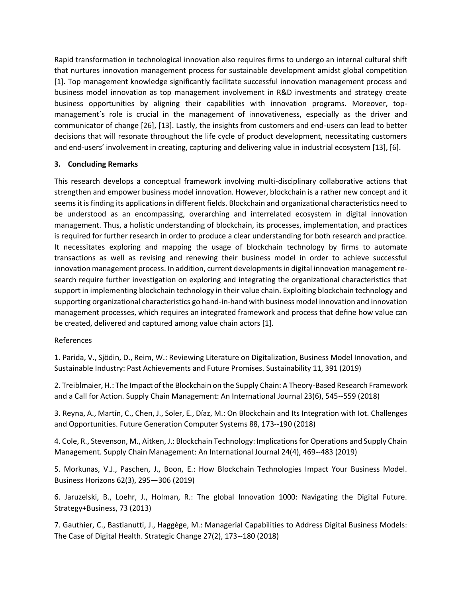Rapid transformation in technological innovation also requires firms to undergo an internal cultural shift that nurtures innovation management process for sustainable development amidst global competition [1]. Top management knowledge significantly facilitate successful innovation management process and business model innovation as top management involvement in R&D investments and strategy create business opportunities by aligning their capabilities with innovation programs. Moreover, topmanagement´s role is crucial in the management of innovativeness, especially as the driver and communicator of change [26], [13]. Lastly, the insights from customers and end-users can lead to better decisions that will resonate throughout the life cycle of product development, necessitating customers and end-users' involvement in creating, capturing and delivering value in industrial ecosystem [13], [6].

# **3. Concluding Remarks**

This research develops a conceptual framework involving multi-disciplinary collaborative actions that strengthen and empower business model innovation. However, blockchain is a rather new concept and it seems it is finding its applications in different fields. Blockchain and organizational characteristics need to be understood as an encompassing, overarching and interrelated ecosystem in digital innovation management. Thus, a holistic understanding of blockchain, its processes, implementation, and practices is required for further research in order to produce a clear understanding for both research and practice. It necessitates exploring and mapping the usage of blockchain technology by firms to automate transactions as well as revising and renewing their business model in order to achieve successful innovation management process. In addition, current developments in digital innovation management research require further investigation on exploring and integrating the organizational characteristics that support in implementing blockchain technology in their value chain. Exploiting blockchain technology and supporting organizational characteristics go hand-in-hand with business model innovation and innovation management processes, which requires an integrated framework and process that define how value can be created, delivered and captured among value chain actors [1].

# References

1. Parida, V., Sjödin, D., Reim, W.: Reviewing Literature on Digitalization, Business Model Innovation, and Sustainable Industry: Past Achievements and Future Promises. Sustainability 11, 391 (2019)

2. Treiblmaier, H.: The Impact of the Blockchain on the Supply Chain: A Theory-Based Research Framework and a Call for Action. Supply Chain Management: An International Journal 23(6), 545--559 (2018)

3. Reyna, A., Martín, C., Chen, J., Soler, E., Díaz, M.: On Blockchain and Its Integration with Iot. Challenges and Opportunities. Future Generation Computer Systems 88, 173--190 (2018)

4. Cole, R., Stevenson, M., Aitken, J.: Blockchain Technology: Implications for Operations and Supply Chain Management. Supply Chain Management: An International Journal 24(4), 469--483 (2019)

5. Morkunas, V.J., Paschen, J., Boon, E.: How Blockchain Technologies Impact Your Business Model. Business Horizons 62(3), 295—306 (2019)

6. Jaruzelski, B., Loehr, J., Holman, R.: The global Innovation 1000: Navigating the Digital Future. Strategy+Business, 73 (2013)

7. Gauthier, C., Bastianutti, J., Haggège, M.: Managerial Capabilities to Address Digital Business Models: The Case of Digital Health. Strategic Change 27(2), 173--180 (2018)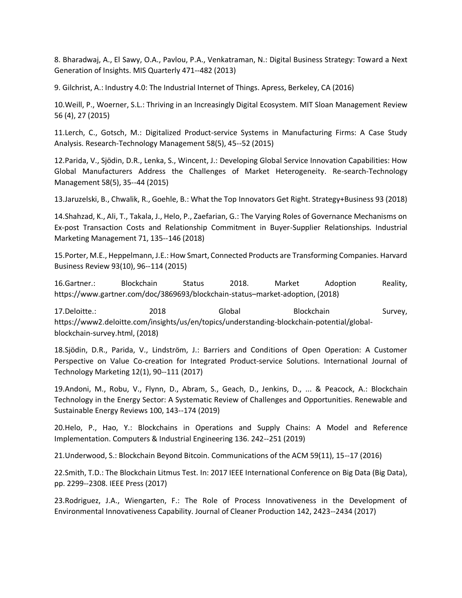8. Bharadwaj, A., El Sawy, O.A., Pavlou, P.A., Venkatraman, N.: Digital Business Strategy: Toward a Next Generation of Insights. MIS Quarterly 471--482 (2013)

9. Gilchrist, A.: Industry 4.0: The Industrial Internet of Things. Apress, Berkeley, CA (2016)

10.Weill, P., Woerner, S.L.: Thriving in an Increasingly Digital Ecosystem. MIT Sloan Management Review 56 (4), 27 (2015)

11.Lerch, C., Gotsch, M.: Digitalized Product-service Systems in Manufacturing Firms: A Case Study Analysis. Research-Technology Management 58(5), 45--52 (2015)

12.Parida, V., Sjödin, D.R., Lenka, S., Wincent, J.: Developing Global Service Innovation Capabilities: How Global Manufacturers Address the Challenges of Market Heterogeneity. Re-search-Technology Management 58(5), 35--44 (2015)

13.Jaruzelski, B., Chwalik, R., Goehle, B.: What the Top Innovators Get Right. Strategy+Business 93 (2018)

14.Shahzad, K., Ali, T., Takala, J., Helo, P., Zaefarian, G.: The Varying Roles of Governance Mechanisms on Ex-post Transaction Costs and Relationship Commitment in Buyer-Supplier Relationships. Industrial Marketing Management 71, 135--146 (2018)

15.Porter, M.E., Heppelmann, J.E.: How Smart, Connected Products are Transforming Companies. Harvard Business Review 93(10), 96--114 (2015)

16.Gartner.: Blockchain Status 2018. Market Adoption Reality, https://www.gartner.com/doc/3869693/blockchain-status–market-adoption, (2018)

17.Deloitte.: 2018 Global Blockchain Survey, https://www2.deloitte.com/insights/us/en/topics/understanding-blockchain-potential/globalblockchain-survey.html, (2018)

18.Sjödin, D.R., Parida, V., Lindström, J.: Barriers and Conditions of Open Operation: A Customer Perspective on Value Co-creation for Integrated Product-service Solutions. International Journal of Technology Marketing 12(1), 90--111 (2017)

19.Andoni, M., Robu, V., Flynn, D., Abram, S., Geach, D., Jenkins, D., ... & Peacock, A.: Blockchain Technology in the Energy Sector: A Systematic Review of Challenges and Opportunities. Renewable and Sustainable Energy Reviews 100, 143--174 (2019)

20.Helo, P., Hao, Y.: Blockchains in Operations and Supply Chains: A Model and Reference Implementation. Computers & Industrial Engineering 136. 242--251 (2019)

21.Underwood, S.: Blockchain Beyond Bitcoin. Communications of the ACM 59(11), 15--17 (2016)

22.Smith, T.D.: The Blockchain Litmus Test. In: 2017 IEEE International Conference on Big Data (Big Data), pp. 2299--2308. IEEE Press (2017)

23.Rodriguez, J.A., Wiengarten, F.: The Role of Process Innovativeness in the Development of Environmental Innovativeness Capability. Journal of Cleaner Production 142, 2423--2434 (2017)